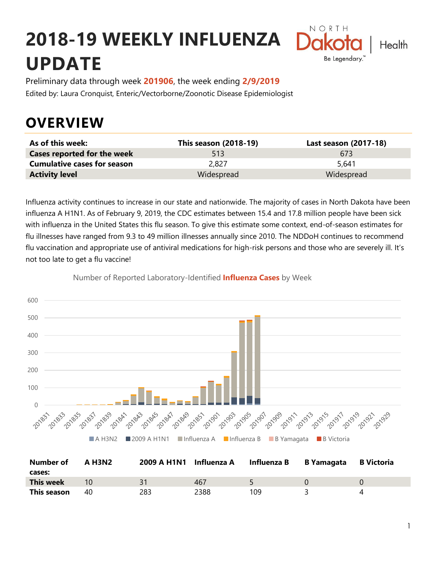# **2018-19 WEEKLY INFLUENZA UPDATE**



Preliminary data through week **201906**, the week ending **2/9/2019** Edited by: Laura Cronquist, Enteric/Vectorborne/Zoonotic Disease Epidemiologist

### **OVERVIEW**

| As of this week:                   | This season (2018-19) | Last season (2017-18) |
|------------------------------------|-----------------------|-----------------------|
| <b>Cases reported for the week</b> | 513                   | 673                   |
| <b>Cumulative cases for season</b> | 2.827                 | 5,641                 |
| <b>Activity level</b>              | Widespread            | Widespread            |

Influenza activity continues to increase in our state and nationwide. The majority of cases in North Dakota have been influenza A H1N1. As of February 9, 2019, the CDC estimates between 15.4 and 17.8 million people have been sick with influenza in the United States this flu season. To give this estimate some context, end-of-season estimates for flu illnesses have ranged from 9.3 to 49 million illnesses annually since 2010. The NDDoH continues to recommend flu vaccination and appropriate use of antiviral medications for high-risk persons and those who are severely ill. It's not too late to get a flu vaccine!



Number of Reported Laboratory-Identified **Influenza Cases** by Week

| <b>Number of</b> | <b>A H3N2</b> | 2009 A H1N1 Influenza A |      | Influenza B | B Yamagata | B Victoria |
|------------------|---------------|-------------------------|------|-------------|------------|------------|
| cases:           |               |                         |      |             |            |            |
| <b>This week</b> | 10            |                         | 467  |             |            |            |
| This season      | 40            | 283                     | 2388 | 109         |            |            |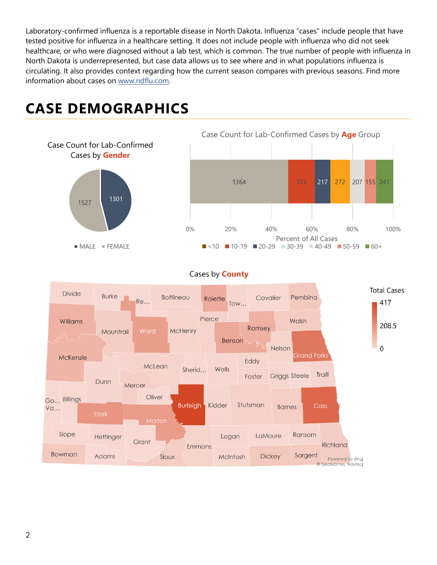Laboratory-confirmed influenza is a reportable disease in North Dakota. Influenza "cases" include people that have tested positive for influenza in a healthcare setting. It does not include people with influenza who did not seek healthcare, or who were diagnosed without a lab test, which is common. The true number of people with influenza in North Dakota is underrepresented, but case data allows us to see where and in what populations influenza is circulating. It also provides context regarding how the current season compares with previous seasons. Find more information about cases on [www.ndflu.com.](file://///nd.gov/doh/DOH-DATA/MSS/DC/PROGRAM/IMMUNE/Immunize/Influenza/Inf18-19/Surveillance/Weekly%20Summaries/www.ndflu.com)

## **CASE DEMOGRAPHICS**



#### Cases by **County**

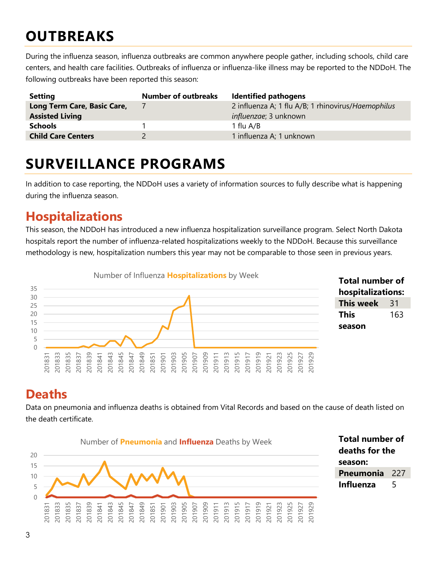## **OUTBREAKS**

During the influenza season, influenza outbreaks are common anywhere people gather, including schools, child care centers, and health care facilities. Outbreaks of influenza or influenza-like illness may be reported to the NDDoH. The following outbreaks have been reported this season:

| <b>Setting</b>              | <b>Number of outbreaks</b> | <b>Identified pathogens</b>                        |
|-----------------------------|----------------------------|----------------------------------------------------|
| Long Term Care, Basic Care, |                            | 2 influenza A; 1 flu A/B; 1 rhinovirus/Haemophilus |
| <b>Assisted Living</b>      |                            | <i>influenzae</i> ; 3 unknown                      |
| <b>Schools</b>              |                            | 1 flu A/B                                          |
| <b>Child Care Centers</b>   |                            | 1 influenza A; 1 unknown                           |

### **SURVEILLANCE PROGRAMS**

In addition to case reporting, the NDDoH uses a variety of information sources to fully describe what is happening during the influenza season.

#### **Hospitalizations**

This season, the NDDoH has introduced a new influenza hospitalization surveillance program. Select North Dakota hospitals report the number of influenza-related hospitalizations weekly to the NDDoH. Because this surveillance methodology is new, hospitalization numbers this year may not be comparable to those seen in previous years.



#### **Total number of hospitalizations: This week** 31 **This season**

### **Deaths**

Data on pneumonia and influenza deaths is obtained from Vital Records and based on the cause of death listed on the death certificate.



**Total number of deaths for the season: Pneumonia** 227 **Influenza** 5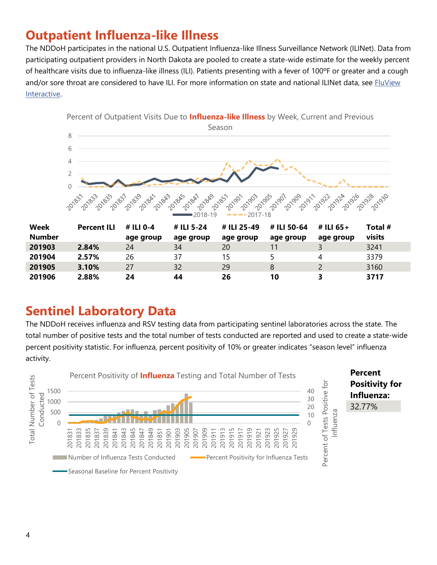### **Outpatient Influenza-like Illness**

The NDDoH participates in the national U.S. Outpatient Influenza-like Illness Surveillance Network (ILINet). Data from participating outpatient providers in North Dakota are pooled to create a state-wide estimate for the weekly percent of healthcare visits due to influenza-like illness (ILI). Patients presenting with a fever of 100ºF or greater and a cough and/or sore throat are considered to have ILI. For more information on state and national ILINet data, see FluView [Interactive.](https://gis.cdc.gov/grasp/fluview/fluportaldashboard.html)



### **Sentinel Laboratory Data**

The NDDoH receives influenza and RSV testing data from participating sentinel laboratories across the state. The total number of positive tests and the total number of tests conducted are reported and used to create a state-wide percent positivity statistic. For influenza, percent positivity of 10% or greater indicates "season level" influenza activity.

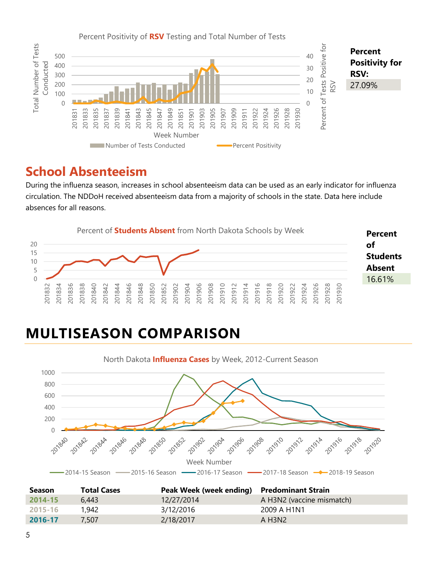

### **School Absenteeism**

During the influenza season, increases in school absenteeism data can be used as an early indicator for influenza circulation. The NDDoH received absenteeism data from a majority of schools in the state. Data here include absences for all reasons.



## **MULTISEASON COMPARISON**



| <b>Season</b> | <b>Total Cases</b> | Peak Week (week ending) Predominant Strain |                                 |
|---------------|--------------------|--------------------------------------------|---------------------------------|
| $2014 - 15$   | 6.443              | 12/27/2014                                 | A H3N2 (vaccine mismatch)       |
| 2015-16       | 1,942              | 3/12/2016                                  | 2009 A H1N1                     |
| 2016-17       | 7.507              | 2/18/2017                                  | A H <sub>3</sub> N <sub>2</sub> |